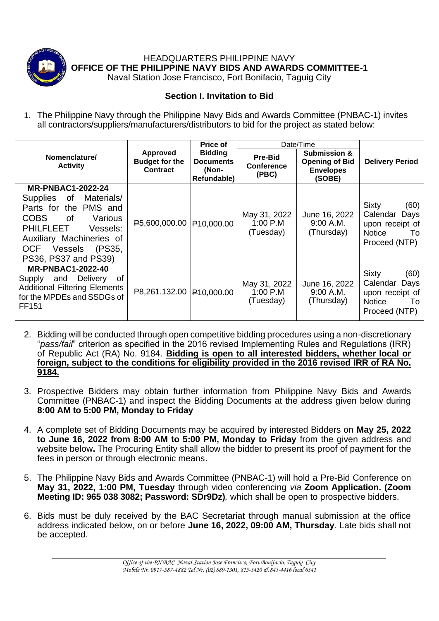

HEADQUARTERS PHILIPPINE NAVY **OFFICE OF THE PHILIPPINE NAVY BIDS AND AWARDS COMMITTEE-1**

Naval Station Jose Francisco, Fort Bonifacio, Taguig City

## **Section I. Invitation to Bid**

1. The Philippine Navy through the Philippine Navy Bids and Awards Committee (PNBAC-1) invites all contractors/suppliers/manufacturers/distributors to bid for the project as stated below:

|                                                                                                                                                                                                                                 |                                                             | Price of                                                   | Date/Time                               |                                                                                |                                                                                                  |
|---------------------------------------------------------------------------------------------------------------------------------------------------------------------------------------------------------------------------------|-------------------------------------------------------------|------------------------------------------------------------|-----------------------------------------|--------------------------------------------------------------------------------|--------------------------------------------------------------------------------------------------|
| Nomenclature/<br><b>Activity</b>                                                                                                                                                                                                | <b>Approved</b><br><b>Budget for the</b><br><b>Contract</b> | <b>Bidding</b><br><b>Documents</b><br>(Non-<br>Refundable) | Pre-Bid<br><b>Conference</b><br>(PBC)   | <b>Submission &amp;</b><br><b>Opening of Bid</b><br><b>Envelopes</b><br>(SOBE) | <b>Delivery Period</b>                                                                           |
| <b>MR-PNBAC1-2022-24</b><br>Materials/<br>Supplies<br>0f<br>Parts for the PMS and<br><b>COBS</b><br>Various<br>of.<br><b>PHILFLEET</b><br>Vessels:<br>Auxiliary Machineries of<br>OCF Vessels<br>(PS35,<br>PS36, PS37 and PS39) | P5,600,000.00 P10,000.00                                    |                                                            | May 31, 2022<br>$1:00$ P.M<br>(Tuesday) | June 16, 2022<br>9:00 A.M.<br>(Thursday)                                       | <b>Sixty</b><br>(60)<br>Calendar Days<br>upon receipt of<br><b>Notice</b><br>To<br>Proceed (NTP) |
| <b>MR-PNBAC1-2022-40</b><br><b>Delivery</b><br>of<br>Supply and<br><b>Additional Filtering Elements</b><br>for the MPDEs and SSDGs of<br><b>FF151</b>                                                                           | <b>₽8,261.132.00 ₽10,000.00</b>                             |                                                            | May 31, 2022<br>1:00 P.M<br>(Tuesday)   | June 16, 2022<br>$9:00$ A.M.<br>(Thursday)                                     | Sixty<br>(60)<br>Calendar<br>Days<br>upon receipt of<br><b>Notice</b><br>To<br>Proceed (NTP)     |

- 2. Bidding will be conducted through open competitive bidding procedures using a non-discretionary "*pass/fail*" criterion as specified in the 2016 revised Implementing Rules and Regulations (IRR) of Republic Act (RA) No. 9184. **Bidding is open to all interested bidders, whether local or foreign, subject to the conditions for eligibility provided in the 2016 revised IRR of RA No. 9184.**
- 3. Prospective Bidders may obtain further information from Philippine Navy Bids and Awards Committee (PNBAC-1) and inspect the Bidding Documents at the address given below during **8:00 AM to 5:00 PM, Monday to Friday**
- 4. A complete set of Bidding Documents may be acquired by interested Bidders on **May 25, 2022 to June 16, 2022 from 8:00 AM to 5:00 PM, Monday to Friday** from the given address and website below**.** The Procuring Entity shall allow the bidder to present its proof of payment for the fees in person or through electronic means.
- 5. The Philippine Navy Bids and Awards Committee (PNBAC-1) will hold a Pre-Bid Conference on **May 31, 2022, 1:00 PM, Tuesday** through video conferencing *via* **Zoom Application. (Zoom Meeting ID: 965 038 3082; Password: SDr9Dz)***,* which shall be open to prospective bidders.
- 6. Bids must be duly received by the BAC Secretariat through manual submission at the office address indicated below, on or before **June 16, 2022, 09:00 AM, Thursday***.* Late bids shall not be accepted.